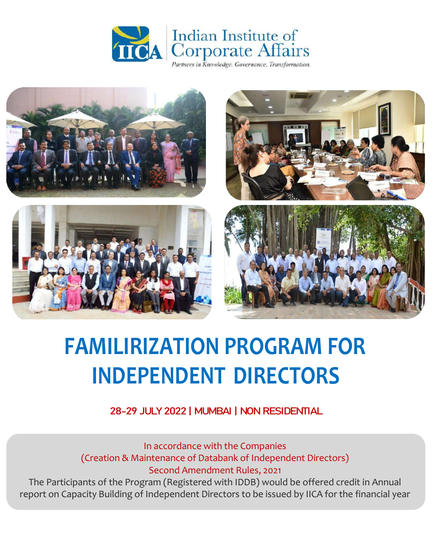



# **FAMILIRIZATION PROGRAM FOR INDEPENDENT DIRECTORS**

28-29 JULY 2022 | MUMBAI | NON RESIDENTIAL

#### In accordance with the Companies (Creation & Maintenance of Databank of Independent Directors) Second Amendment Rules, 2021

The Participants of the Program (Registered with IDDB) would be offered credit in Annual report on Capacity Building of Independent Directors to be issued by IICA for the financial year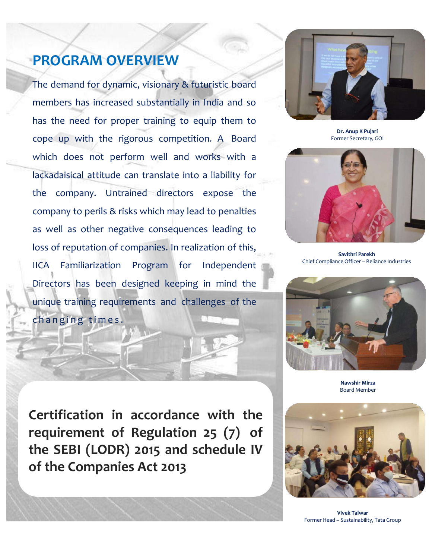# **PROGRAM OVERVIEW**

The demand for dynamic, visionary & futuristic board members has increased substantially in India and so has the need for proper training to equip them to cope up with the rigorous competition. A Board which does not perform well and works with a lackadaisical attitude can translate into a liability for the company. Untrained directors expose the company to perils & risks which may lead to penalties as well as other negative consequences leading to loss of reputation of companies. In realization of this, IICA Familiarization Program for Independent Directors has been designed keeping in mind the unique training requirements and challenges of the changing times.



**Dr. Anup K Pujari** Former Secretary, GOI



**Savithri Parekh** Chief Compliance Officer – Reliance Industries



**Nawshir Mirza** Board Member

**Certification in accordance with the requirement of Regulation 25 (7) of the SEBI (LODR) 2015 and schedule IV of the Companies Act 2013**



**Vivek Talwar** Former Head – Sustainability, Tata Group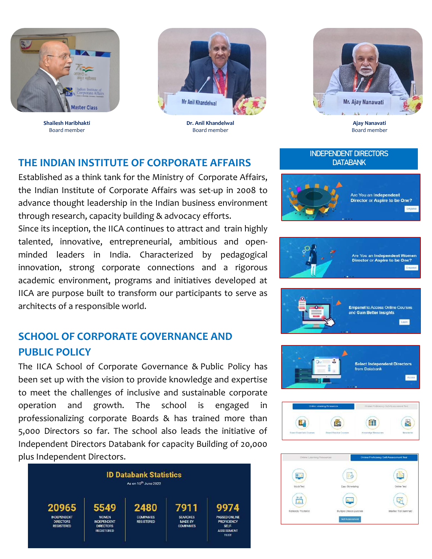

**Shailesh Haribhakti** Board member



**Dr. Anil Khandelwal** Board member



**Ajay Nanavati** Board member

Are You an Independent

**Director or Aspire to be One?** 

#### **THE INDIAN INSTITUTE OF CORPORATE AFFAIRS**

Established as a think tank for the Ministry of Corporate Affairs, the Indian Institute of Corporate Affairs was set-up in 2008 to advance thought leadership in the Indian business environment through research, capacity building & advocacy efforts.

Since its inception, the IICA continues to attract and train highly talented, innovative, entrepreneurial, ambitious and openminded leaders in India. Characterized by pedagogical innovation, strong corporate connections and a rigorous academic environment, programs and initiatives developed at IICA are purpose built to transform our participants to serve as architects of a responsible world.

#### **SCHOOL OF CORPORATE GOVERNANCE AND PUBLIC POLICY**

The IICA School of Corporate Governance & Public Policy has been set up with the vision to provide knowledge and expertise to meet the challenges of inclusive and sustainable corporate operation and growth. The school is engaged in professionalizing corporate Boards & has trained more than 5,000 Directors so far. The school also leads the initiative of Independent Directors Databank for capacity Building of 20,000 plus Independent Directors.













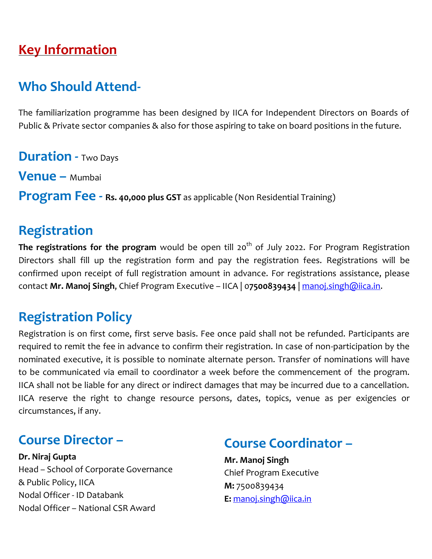## **Key Information**

### **Who Should Attend-**

The familiarization programme has been designed by IICA for Independent Directors on Boards of Public & Private sector companies & also for those aspiring to take on board positions in the future.

**Duration -** Two Days **Venue –** Mumbai

**Program Fee - Rs. 40,000 plus GST** as applicable (Non Residential Training)

### **Registration**

The registrations for the program would be open till 20<sup>th</sup> of July 2022. For Program Registration Directors shall fill up the registration form and pay the registration fees. Registrations will be confirmed upon receipt of full registration amount in advance. For registrations assistance, please contact **Mr. Manoj Singh**, Chief Program Executive – IICA | 0**7500839434** | [manoj.singh@iica.in.](mailto:manoj.singh@iica.in)

## **Registration Policy**

Registration is on first come, first serve basis. Fee once paid shall not be refunded. Participants are required to remit the fee in advance to confirm their registration. In case of non-participation by the nominated executive, it is possible to nominate alternate person. Transfer of nominations will have to be communicated via email to coordinator a week before the commencement of the program. IICA shall not be liable for any direct or indirect damages that may be incurred due to a cancellation. IICA reserve the right to change resource persons, dates, topics, venue as per exigencies or circumstances, if any.

### **Course Director –**

**Dr. Niraj Gupta** Head – School of Corporate Governance & Public Policy, IICA Nodal Officer - ID Databank Nodal Officer – National CSR Award

#### **Course Coordinator –**

**Mr. Manoj Singh** Chief Program Executive **M:** 7500839434 **E:** [manoj.singh@iica.in](mailto:manoj.singh@iica.in)